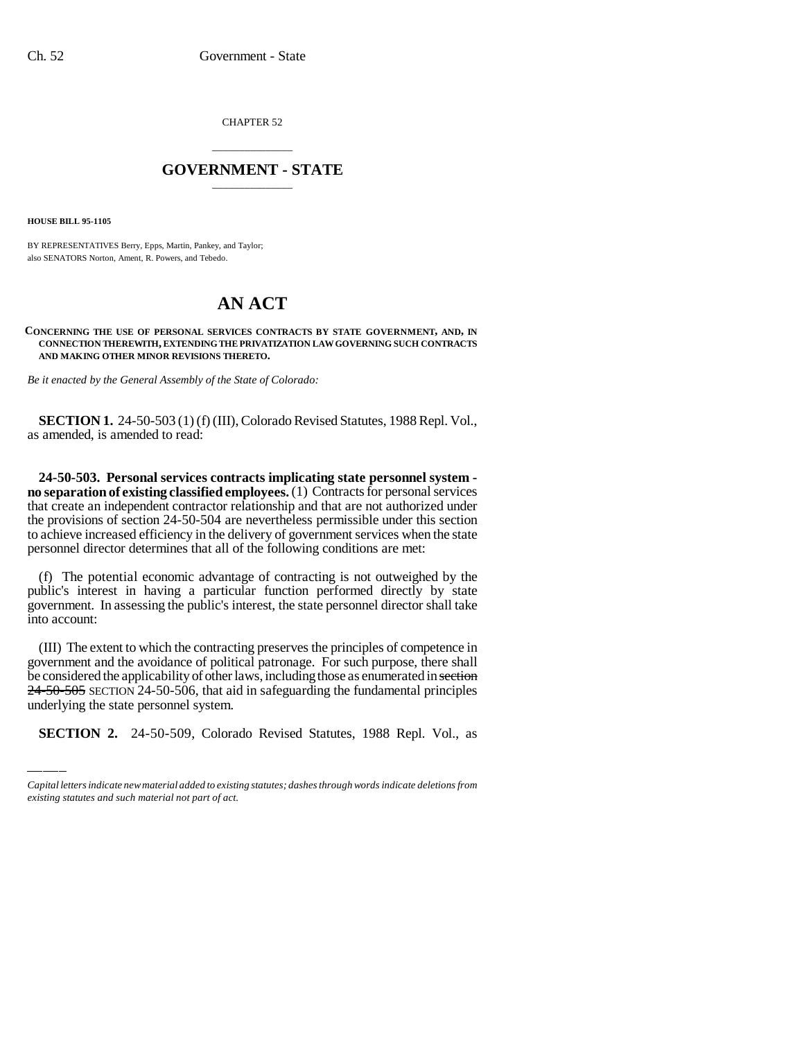CHAPTER 52

## \_\_\_\_\_\_\_\_\_\_\_\_\_\_\_ **GOVERNMENT - STATE** \_\_\_\_\_\_\_\_\_\_\_\_\_\_\_

**HOUSE BILL 95-1105**

BY REPRESENTATIVES Berry, Epps, Martin, Pankey, and Taylor; also SENATORS Norton, Ament, R. Powers, and Tebedo.

## **AN ACT**

**CONCERNING THE USE OF PERSONAL SERVICES CONTRACTS BY STATE GOVERNMENT, AND, IN CONNECTION THEREWITH, EXTENDING THE PRIVATIZATION LAW GOVERNING SUCH CONTRACTS AND MAKING OTHER MINOR REVISIONS THERETO.**

*Be it enacted by the General Assembly of the State of Colorado:*

**SECTION 1.** 24-50-503 (1) (f) (III), Colorado Revised Statutes, 1988 Repl. Vol., as amended, is amended to read:

**24-50-503. Personal services contracts implicating state personnel system no separation of existing classified employees.** (1) Contracts for personal services that create an independent contractor relationship and that are not authorized under the provisions of section 24-50-504 are nevertheless permissible under this section to achieve increased efficiency in the delivery of government services when the state personnel director determines that all of the following conditions are met:

(f) The potential economic advantage of contracting is not outweighed by the public's interest in having a particular function performed directly by state government. In assessing the public's interest, the state personnel director shall take into account:

be considered the applicability of other laws, including those as enumerated in section (III) The extent to which the contracting preserves the principles of competence in government and the avoidance of political patronage. For such purpose, there shall 24-50-505 SECTION 24-50-506, that aid in safeguarding the fundamental principles underlying the state personnel system.

**SECTION 2.** 24-50-509, Colorado Revised Statutes, 1988 Repl. Vol., as

*Capital letters indicate new material added to existing statutes; dashes through words indicate deletions from existing statutes and such material not part of act.*